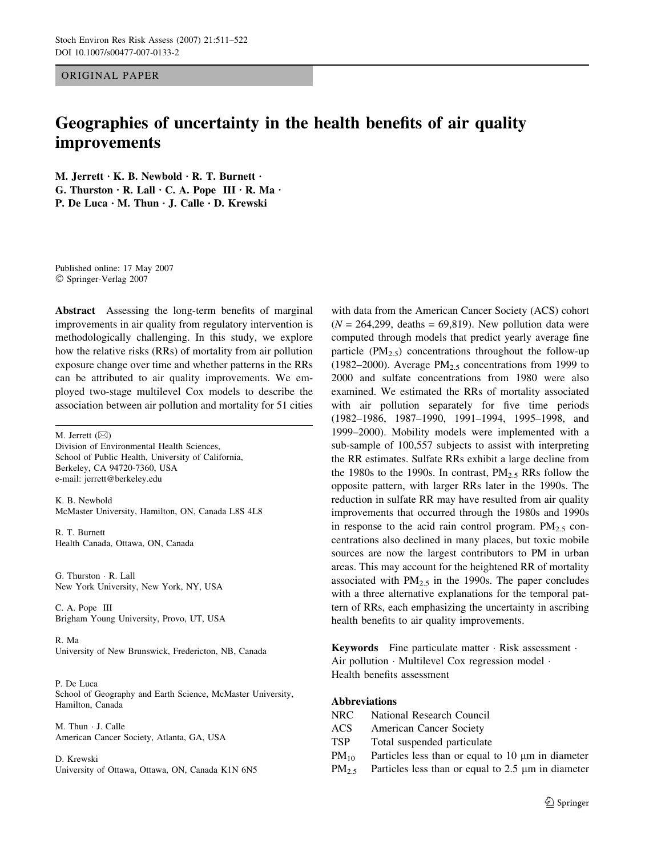ORIGINAL PAPER

# Geographies of uncertainty in the health benefits of air quality improvements

M. Jerrett  $\cdot$  K. B. Newbold  $\cdot$  R. T. Burnett  $\cdot$ G. Thurston  $\cdot$  R. Lall  $\cdot$  C. A. Pope III  $\cdot$  R. Ma  $\cdot$ P. De Luca  $\cdot$  M. Thun  $\cdot$  J. Calle  $\cdot$  D. Krewski

Published online: 17 May 2007 Springer-Verlag 2007

Abstract Assessing the long-term benefits of marginal improvements in air quality from regulatory intervention is methodologically challenging. In this study, we explore how the relative risks (RRs) of mortality from air pollution exposure change over time and whether patterns in the RRs can be attributed to air quality improvements. We employed two-stage multilevel Cox models to describe the association between air pollution and mortality for 51 cities

M. Jerrett  $(\boxtimes)$ Division of Environmental Health Sciences, School of Public Health, University of California, Berkeley, CA 94720-7360, USA e-mail: jerrett@berkeley.edu

K. B. Newbold McMaster University, Hamilton, ON, Canada L8S 4L8

R. T. Burnett Health Canada, Ottawa, ON, Canada

G. Thurston · R. Lall New York University, New York, NY, USA

C. A. Pope III Brigham Young University, Provo, UT, USA

R. Ma University of New Brunswick, Fredericton, NB, Canada

P. De Luca School of Geography and Earth Science, McMaster University, Hamilton, Canada

M. Thun  $\cdot$  J. Calle American Cancer Society, Atlanta, GA, USA

D. Krewski University of Ottawa, Ottawa, ON, Canada K1N 6N5

with data from the American Cancer Society (ACS) cohort  $(N = 264,299,$  deaths = 69,819). New pollution data were computed through models that predict yearly average fine particle  $(PM_{2.5})$  concentrations throughout the follow-up (1982–2000). Average  $PM_{2.5}$  concentrations from 1999 to 2000 and sulfate concentrations from 1980 were also examined. We estimated the RRs of mortality associated with air pollution separately for five time periods (1982–1986, 1987–1990, 1991–1994, 1995–1998, and 1999–2000). Mobility models were implemented with a sub-sample of 100,557 subjects to assist with interpreting the RR estimates. Sulfate RRs exhibit a large decline from the 1980s to the 1990s. In contrast,  $PM_{2.5}$  RRs follow the opposite pattern, with larger RRs later in the 1990s. The reduction in sulfate RR may have resulted from air quality improvements that occurred through the 1980s and 1990s in response to the acid rain control program.  $PM_{2.5}$  concentrations also declined in many places, but toxic mobile sources are now the largest contributors to PM in urban areas. This may account for the heightened RR of mortality associated with  $PM_{2.5}$  in the 1990s. The paper concludes with a three alternative explanations for the temporal pattern of RRs, each emphasizing the uncertainty in ascribing health benefits to air quality improvements.

Keywords Fine particulate matter  $\cdot$  Risk assessment  $\cdot$ Air pollution  $\cdot$  Multilevel Cox regression model  $\cdot$ Health benefits assessment

## Abbreviations

| NRC-       | National Research Council                               |
|------------|---------------------------------------------------------|
| ACS.       | American Cancer Society                                 |
| TSP        | Total suspended particulate                             |
| $PM_{10}$  | Particles less than or equal to 10 $\mu$ m in diameter  |
| $PM_{2.5}$ | Particles less than or equal to $2.5 \mu m$ in diameter |
|            |                                                         |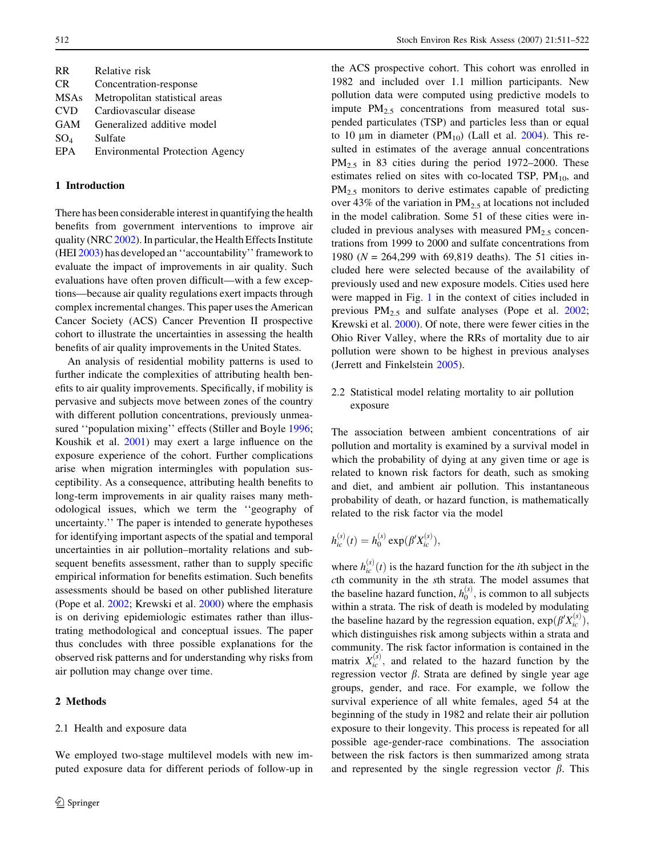| <b>RR</b>   | Relative risk                          |
|-------------|----------------------------------------|
| CR          | Concentration-response                 |
| <b>MSAs</b> | Metropolitan statistical areas         |
| <b>CVD</b>  | Cardiovascular disease                 |
| <b>GAM</b>  | Generalized additive model             |
| $SO_4$      | Sulfate                                |
| <b>EPA</b>  | <b>Environmental Protection Agency</b> |
|             |                                        |

## 1 Introduction

There has been considerable interest in quantifying the health benefits from government interventions to improve air quality (NRC[2002](#page-11-0)). In particular, the Health Effects Institute (HEI [2003](#page-10-0)) has developed an ''accountability'' framework to evaluate the impact of improvements in air quality. Such evaluations have often proven difficult—with a few exceptions—because air quality regulations exert impacts through complex incremental changes. This paper uses the American Cancer Society (ACS) Cancer Prevention II prospective cohort to illustrate the uncertainties in assessing the health benefits of air quality improvements in the United States.

An analysis of residential mobility patterns is used to further indicate the complexities of attributing health benefits to air quality improvements. Specifically, if mobility is pervasive and subjects move between zones of the country with different pollution concentrations, previously unmea-sured "population mixing" effects (Stiller and Boyle [1996](#page-11-0); Koushik et al. [2001\)](#page-10-0) may exert a large influence on the exposure experience of the cohort. Further complications arise when migration intermingles with population susceptibility. As a consequence, attributing health benefits to long-term improvements in air quality raises many methodological issues, which we term the ''geography of uncertainty.'' The paper is intended to generate hypotheses for identifying important aspects of the spatial and temporal uncertainties in air pollution–mortality relations and subsequent benefits assessment, rather than to supply specific empirical information for benefits estimation. Such benefits assessments should be based on other published literature (Pope et al. [2002](#page-11-0); Krewski et al. [2000\)](#page-10-0) where the emphasis is on deriving epidemiologic estimates rather than illustrating methodological and conceptual issues. The paper thus concludes with three possible explanations for the observed risk patterns and for understanding why risks from air pollution may change over time.

## 2 Methods

#### 2.1 Health and exposure data

We employed two-stage multilevel models with new imputed exposure data for different periods of follow-up in the ACS prospective cohort. This cohort was enrolled in 1982 and included over 1.1 million participants. New pollution data were computed using predictive models to impute  $PM_{2.5}$  concentrations from measured total suspended particulates (TSP) and particles less than or equal to 10  $\mu$ m in diameter (PM<sub>10</sub>) (Lall et al. [2004](#page-10-0)). This resulted in estimates of the average annual concentrations  $PM_{2.5}$  in 83 cities during the period 1972–2000. These estimates relied on sites with co-located TSP,  $PM_{10}$ , and PM<sub>2.5</sub> monitors to derive estimates capable of predicting over 43% of the variation in  $PM<sub>2.5</sub>$  at locations not included in the model calibration. Some 51 of these cities were included in previous analyses with measured  $PM_{2.5}$  concentrations from 1999 to 2000 and sulfate concentrations from 1980 ( $N = 264,299$  with 69,819 deaths). The 51 cities included here were selected because of the availability of previously used and new exposure models. Cities used here were mapped in Fig. [1](#page-2-0) in the context of cities included in previous  $PM_{2.5}$  and sulfate analyses (Pope et al. [2002](#page-11-0); Krewski et al. [2000](#page-10-0)). Of note, there were fewer cities in the Ohio River Valley, where the RRs of mortality due to air pollution were shown to be highest in previous analyses (Jerrett and Finkelstein [2005](#page-10-0)).

# 2.2 Statistical model relating mortality to air pollution exposure

The association between ambient concentrations of air pollution and mortality is examined by a survival model in which the probability of dying at any given time or age is related to known risk factors for death, such as smoking and diet, and ambient air pollution. This instantaneous probability of death, or hazard function, is mathematically related to the risk factor via the model

$$
h_{ic}^{(s)}(t) = h_0^{(s)} \exp(\beta' X_{ic}^{(s)}),
$$

where  $h_{ic}^{(s)}(t)$  is the hazard function for the *i*th subject in the cth community in the sth strata. The model assumes that the baseline hazard function,  $h_0^{(s)}$ , is common to all subjects within a strata. The risk of death is modeled by modulating the baseline hazard by the regression equation,  $\exp(\beta' X_{ic}^{(s)})$ , which distinguishes risk among subjects within a strata and community. The risk factor information is contained in the matrix  $X_{ic}^{(s)}$ , and related to the hazard function by the regression vector  $\beta$ . Strata are defined by single year age groups, gender, and race. For example, we follow the survival experience of all white females, aged 54 at the beginning of the study in 1982 and relate their air pollution exposure to their longevity. This process is repeated for all possible age-gender-race combinations. The association between the risk factors is then summarized among strata and represented by the single regression vector  $\beta$ . This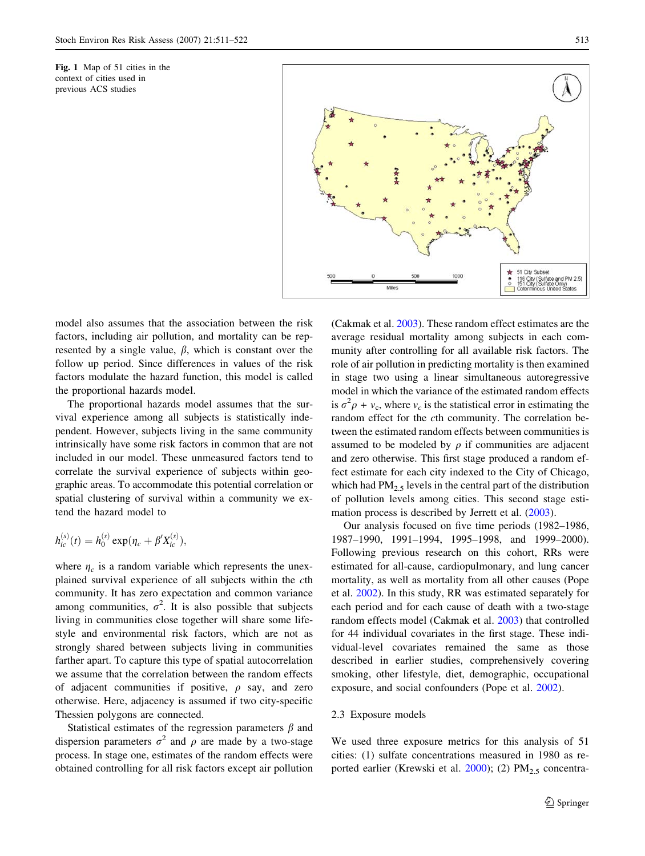<span id="page-2-0"></span>Fig. 1 Map of 51 cities in the context of cities used in previous ACS studies



model also assumes that the association between the risk factors, including air pollution, and mortality can be represented by a single value,  $\beta$ , which is constant over the follow up period. Since differences in values of the risk factors modulate the hazard function, this model is called the proportional hazards model.

The proportional hazards model assumes that the survival experience among all subjects is statistically independent. However, subjects living in the same community intrinsically have some risk factors in common that are not included in our model. These unmeasured factors tend to correlate the survival experience of subjects within geographic areas. To accommodate this potential correlation or spatial clustering of survival within a community we extend the hazard model to

$$
h_{ic}^{(s)}(t) = h_0^{(s)} \exp(\eta_c + \beta' X_{ic}^{(s)}),
$$

where  $\eta_c$  is a random variable which represents the unexplained survival experience of all subjects within the cth community. It has zero expectation and common variance among communities,  $\sigma^2$ . It is also possible that subjects living in communities close together will share some lifestyle and environmental risk factors, which are not as strongly shared between subjects living in communities farther apart. To capture this type of spatial autocorrelation we assume that the correlation between the random effects of adjacent communities if positive,  $\rho$  say, and zero otherwise. Here, adjacency is assumed if two city-specific Thessien polygons are connected.

Statistical estimates of the regression parameters  $\beta$  and dispersion parameters  $\sigma^2$  and  $\rho$  are made by a two-stage process. In stage one, estimates of the random effects were obtained controlling for all risk factors except air pollution (Cakmak et al. [2003](#page-10-0)). These random effect estimates are the average residual mortality among subjects in each community after controlling for all available risk factors. The role of air pollution in predicting mortality is then examined in stage two using a linear simultaneous autoregressive model in which the variance of the estimated random effects is  $\sigma^2 \rho + v_c$ , where  $v_c$  is the statistical error in estimating the random effect for the cth community. The correlation between the estimated random effects between communities is assumed to be modeled by  $\rho$  if communities are adjacent and zero otherwise. This first stage produced a random effect estimate for each city indexed to the City of Chicago, which had  $PM_{2.5}$  levels in the central part of the distribution of pollution levels among cities. This second stage estimation process is described by Jerrett et al. [\(2003](#page-10-0)).

Our analysis focused on five time periods (1982–1986, 1987–1990, 1991–1994, 1995–1998, and 1999–2000). Following previous research on this cohort, RRs were estimated for all-cause, cardiopulmonary, and lung cancer mortality, as well as mortality from all other causes (Pope et al. [2002\)](#page-11-0). In this study, RR was estimated separately for each period and for each cause of death with a two-stage random effects model (Cakmak et al. [2003](#page-10-0)) that controlled for 44 individual covariates in the first stage. These individual-level covariates remained the same as those described in earlier studies, comprehensively covering smoking, other lifestyle, diet, demographic, occupational exposure, and social confounders (Pope et al. [2002\)](#page-11-0).

#### 2.3 Exposure models

We used three exposure metrics for this analysis of 51 cities: (1) sulfate concentrations measured in 1980 as re-ported earlier (Krewski et al. [2000\)](#page-10-0); (2)  $PM_{2.5}$  concentra-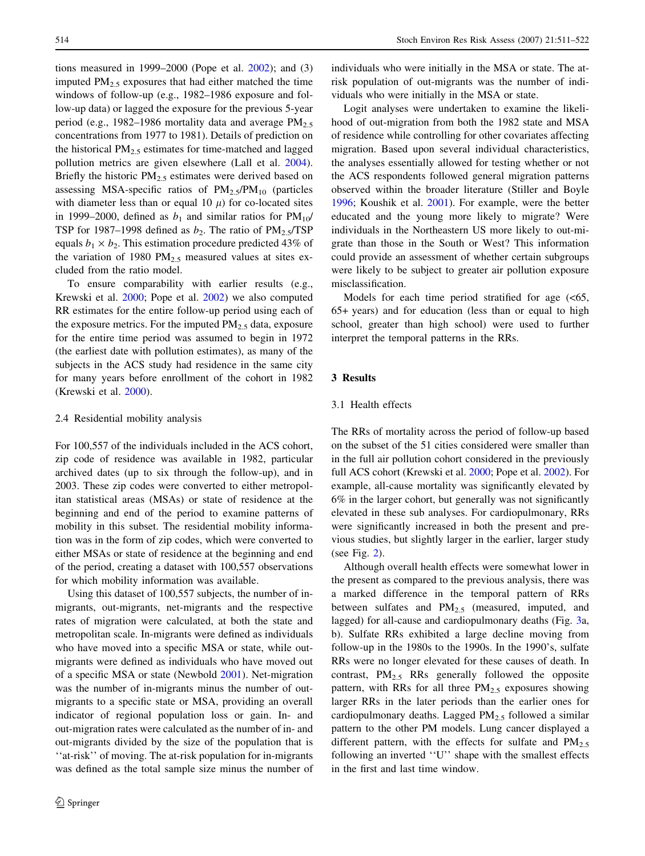tions measured in 1999–2000 (Pope et al. [2002](#page-11-0)); and (3) imputed  $PM_{2.5}$  exposures that had either matched the time windows of follow-up (e.g., 1982–1986 exposure and follow-up data) or lagged the exposure for the previous 5-year period (e.g., 1982–1986 mortality data and average  $PM_{2.5}$ concentrations from 1977 to 1981). Details of prediction on the historical  $PM_{2.5}$  estimates for time-matched and lagged pollution metrics are given elsewhere (Lall et al. [2004](#page-10-0)). Briefly the historic  $PM<sub>2.5</sub>$  estimates were derived based on assessing MSA-specific ratios of  $PM_{2.5}/PM_{10}$  (particles with diameter less than or equal 10  $\mu$ ) for co-located sites in 1999–2000, defined as  $b_1$  and similar ratios for  $PM_{10}/$ TSP for 1987–1998 defined as  $b_2$ . The ratio of PM<sub>2.5</sub>/TSP equals  $b_1 \times b_2$ . This estimation procedure predicted 43% of the variation of 1980 PM $_{2.5}$  measured values at sites excluded from the ratio model.

To ensure comparability with earlier results (e.g., Krewski et al. [2000;](#page-10-0) Pope et al. [2002](#page-11-0)) we also computed RR estimates for the entire follow-up period using each of the exposure metrics. For the imputed  $PM_{2.5}$  data, exposure for the entire time period was assumed to begin in 1972 (the earliest date with pollution estimates), as many of the subjects in the ACS study had residence in the same city for many years before enrollment of the cohort in 1982 (Krewski et al. [2000](#page-10-0)).

## 2.4 Residential mobility analysis

For 100,557 of the individuals included in the ACS cohort, zip code of residence was available in 1982, particular archived dates (up to six through the follow-up), and in 2003. These zip codes were converted to either metropolitan statistical areas (MSAs) or state of residence at the beginning and end of the period to examine patterns of mobility in this subset. The residential mobility information was in the form of zip codes, which were converted to either MSAs or state of residence at the beginning and end of the period, creating a dataset with 100,557 observations for which mobility information was available.

Using this dataset of 100,557 subjects, the number of inmigrants, out-migrants, net-migrants and the respective rates of migration were calculated, at both the state and metropolitan scale. In-migrants were defined as individuals who have moved into a specific MSA or state, while outmigrants were defined as individuals who have moved out of a specific MSA or state (Newbold [2001\)](#page-11-0). Net-migration was the number of in-migrants minus the number of outmigrants to a specific state or MSA, providing an overall indicator of regional population loss or gain. In- and out-migration rates were calculated as the number of in- and out-migrants divided by the size of the population that is ''at-risk'' of moving. The at-risk population for in-migrants was defined as the total sample size minus the number of individuals who were initially in the MSA or state. The atrisk population of out-migrants was the number of individuals who were initially in the MSA or state.

Logit analyses were undertaken to examine the likelihood of out-migration from both the 1982 state and MSA of residence while controlling for other covariates affecting migration. Based upon several individual characteristics, the analyses essentially allowed for testing whether or not the ACS respondents followed general migration patterns observed within the broader literature (Stiller and Boyle [1996](#page-11-0); Koushik et al. [2001\)](#page-10-0). For example, were the better educated and the young more likely to migrate? Were individuals in the Northeastern US more likely to out-migrate than those in the South or West? This information could provide an assessment of whether certain subgroups were likely to be subject to greater air pollution exposure misclassification.

Models for each time period stratified for age (<65, 65+ years) and for education (less than or equal to high school, greater than high school) were used to further interpret the temporal patterns in the RRs.

## 3 Results

#### 3.1 Health effects

The RRs of mortality across the period of follow-up based on the subset of the 51 cities considered were smaller than in the full air pollution cohort considered in the previously full ACS cohort (Krewski et al. [2000](#page-10-0); Pope et al. [2002](#page-11-0)). For example, all-cause mortality was significantly elevated by 6% in the larger cohort, but generally was not significantly elevated in these sub analyses. For cardiopulmonary, RRs were significantly increased in both the present and previous studies, but slightly larger in the earlier, larger study (see Fig. [2\)](#page-4-0).

Although overall health effects were somewhat lower in the present as compared to the previous analysis, there was a marked difference in the temporal pattern of RRs between sulfates and  $PM_{2.5}$  (measured, imputed, and lagged) for all-cause and cardiopulmonary deaths (Fig. [3](#page-5-0)a, b). Sulfate RRs exhibited a large decline moving from follow-up in the 1980s to the 1990s. In the 1990's, sulfate RRs were no longer elevated for these causes of death. In contrast,  $PM_{2.5}$  RRs generally followed the opposite pattern, with RRs for all three  $PM<sub>2.5</sub>$  exposures showing larger RRs in the later periods than the earlier ones for cardiopulmonary deaths. Lagged  $PM<sub>2.5</sub>$  followed a similar pattern to the other PM models. Lung cancer displayed a different pattern, with the effects for sulfate and  $PM_{2.5}$ following an inverted ''U'' shape with the smallest effects in the first and last time window.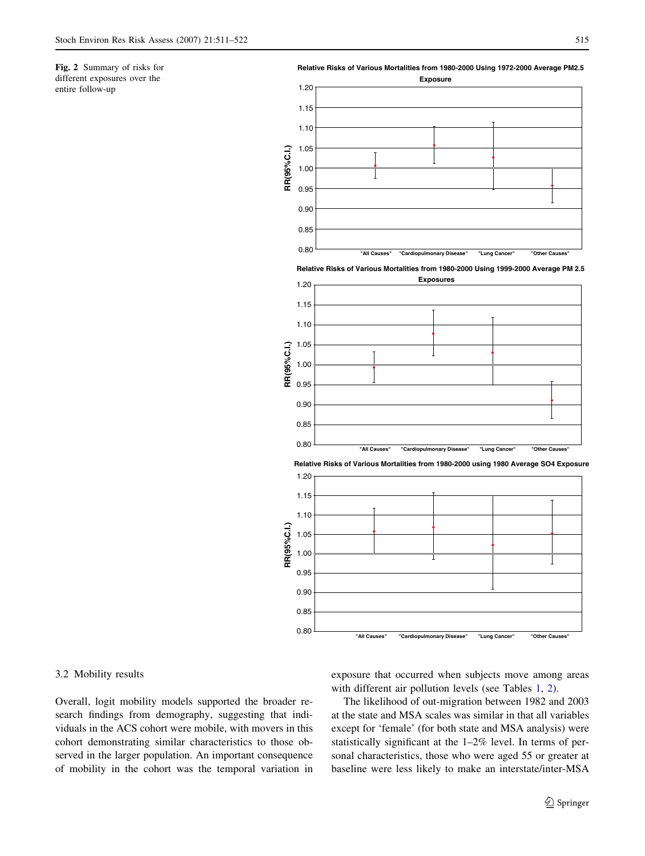<span id="page-4-0"></span>

**Relative Risks of Various Mortalities from 1980-2000 Using 1972-2000 Average PM2.5** 



#### 3.2 Mobility results

Overall, logit mobility models supported the broader research findings from demography, suggesting that individuals in the ACS cohort were mobile, with movers in this cohort demonstrating similar characteristics to those observed in the larger population. An important consequence of mobility in the cohort was the temporal variation in exposure that occurred when subjects move among areas with different air pollution levels (see Tables [1,](#page-6-0) [2\)](#page-7-0).

The likelihood of out-migration between 1982 and 2003 at the state and MSA scales was similar in that all variables except for 'female' (for both state and MSA analysis) were statistically significant at the 1–2% level. In terms of personal characteristics, those who were aged 55 or greater at baseline were less likely to make an interstate/inter-MSA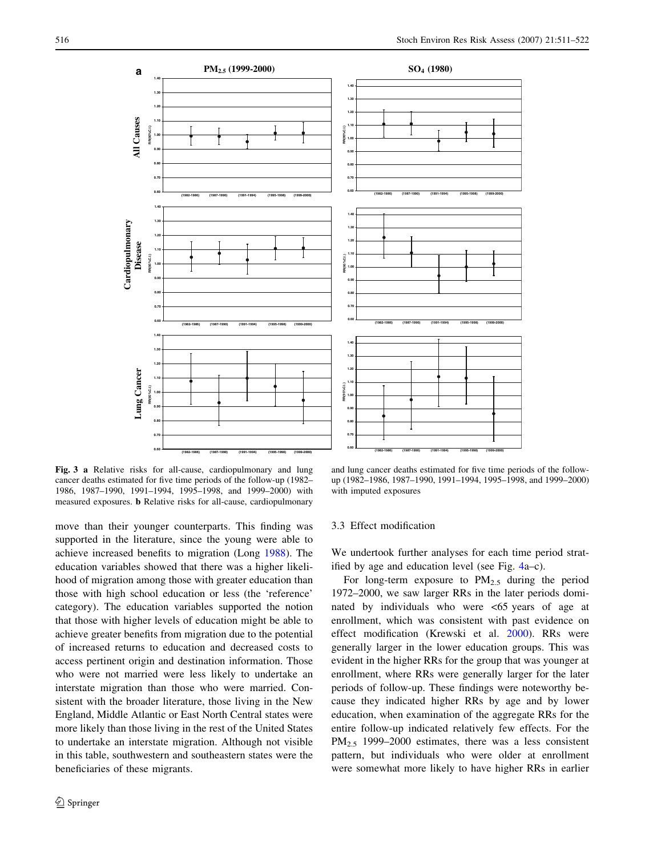<span id="page-5-0"></span>

Fig. 3 a Relative risks for all-cause, cardiopulmonary and lung cancer deaths estimated for five time periods of the follow-up (1982– 1986, 1987–1990, 1991–1994, 1995–1998, and 1999–2000) with measured exposures. b Relative risks for all-cause, cardiopulmonary

move than their younger counterparts. This finding was supported in the literature, since the young were able to achieve increased benefits to migration (Long [1988](#page-10-0)). The education variables showed that there was a higher likelihood of migration among those with greater education than those with high school education or less (the 'reference' category). The education variables supported the notion that those with higher levels of education might be able to achieve greater benefits from migration due to the potential of increased returns to education and decreased costs to access pertinent origin and destination information. Those who were not married were less likely to undertake an interstate migration than those who were married. Consistent with the broader literature, those living in the New England, Middle Atlantic or East North Central states were more likely than those living in the rest of the United States to undertake an interstate migration. Although not visible in this table, southwestern and southeastern states were the beneficiaries of these migrants.

and lung cancer deaths estimated for five time periods of the followup (1982–1986, 1987–1990, 1991–1994, 1995–1998, and 1999–2000) with imputed exposures

## 3.3 Effect modification

We undertook further analyses for each time period stratified by age and education level (see Fig. [4](#page-8-0)a–c).

For long-term exposure to  $PM_{2.5}$  during the period 1972–2000, we saw larger RRs in the later periods dominated by individuals who were <65 years of age at enrollment, which was consistent with past evidence on effect modification (Krewski et al. [2000](#page-10-0)). RRs were generally larger in the lower education groups. This was evident in the higher RRs for the group that was younger at enrollment, where RRs were generally larger for the later periods of follow-up. These findings were noteworthy because they indicated higher RRs by age and by lower education, when examination of the aggregate RRs for the entire follow-up indicated relatively few effects. For the PM2.5 1999–2000 estimates, there was a less consistent pattern, but individuals who were older at enrollment were somewhat more likely to have higher RRs in earlier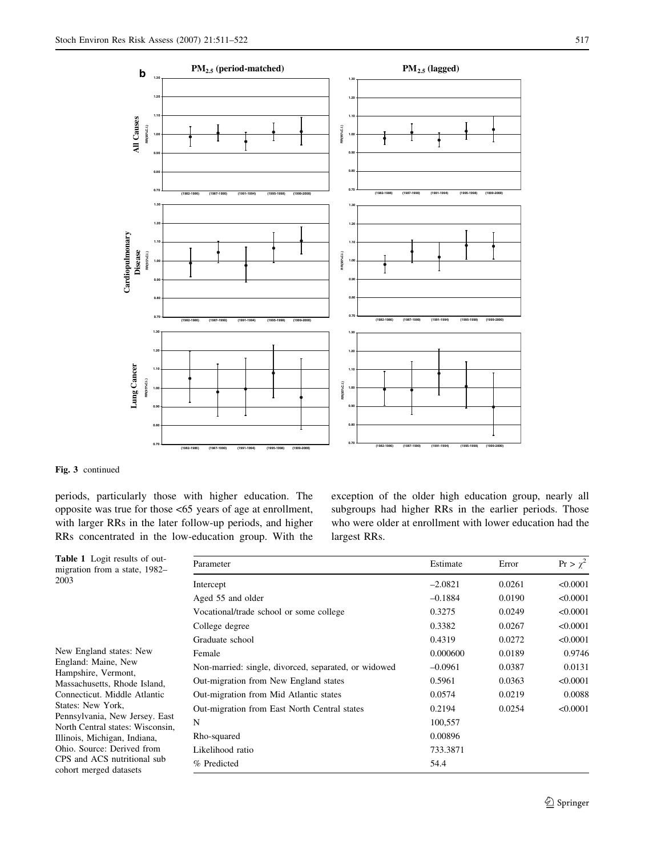<span id="page-6-0"></span>

Fig. 3 continued

periods, particularly those with higher education. The opposite was true for those <65 years of age at enrollment, with larger RRs in the later follow-up periods, and higher RRs concentrated in the low-education group. With the exception of the older high education group, nearly all subgroups had higher RRs in the earlier periods. Those who were older at enrollment with lower education had the largest RRs.

Table 1 Logit results of outmigration from a state, 1982– 2003

New England states: New England: Maine, New Hampshire, Vermont, Massachusetts, Rhode Island, Connecticut. Middle Atlantic States: New York, Pennsylvania, New Jersey. East North Central states: Wisconsin, Illinois, Michigan, Indiana, Ohio. Source: Derived from CPS and ACS nutritional sub cohort merged datasets

| Parameter                                            | Estimate  | Error  | $Pr > \chi^2$ |
|------------------------------------------------------|-----------|--------|---------------|
| Intercept                                            | $-2.0821$ | 0.0261 | < 0.0001      |
| Aged 55 and older                                    | $-0.1884$ | 0.0190 | < 0.0001      |
| Vocational/trade school or some college              | 0.3275    | 0.0249 | < 0.0001      |
| College degree                                       | 0.3382    | 0.0267 | < 0.0001      |
| Graduate school                                      | 0.4319    | 0.0272 | < 0.0001      |
| Female                                               | 0.000600  | 0.0189 | 0.9746        |
| Non-married: single, divorced, separated, or widowed | $-0.0961$ | 0.0387 | 0.0131        |
| Out-migration from New England states                | 0.5961    | 0.0363 | < 0.0001      |
| Out-migration from Mid Atlantic states               | 0.0574    | 0.0219 | 0.0088        |
| Out-migration from East North Central states         | 0.2194    | 0.0254 | < 0.0001      |
| N                                                    | 100,557   |        |               |
| Rho-squared                                          | 0.00896   |        |               |
| Likelihood ratio                                     | 733.3871  |        |               |
| % Predicted                                          | 54.4      |        |               |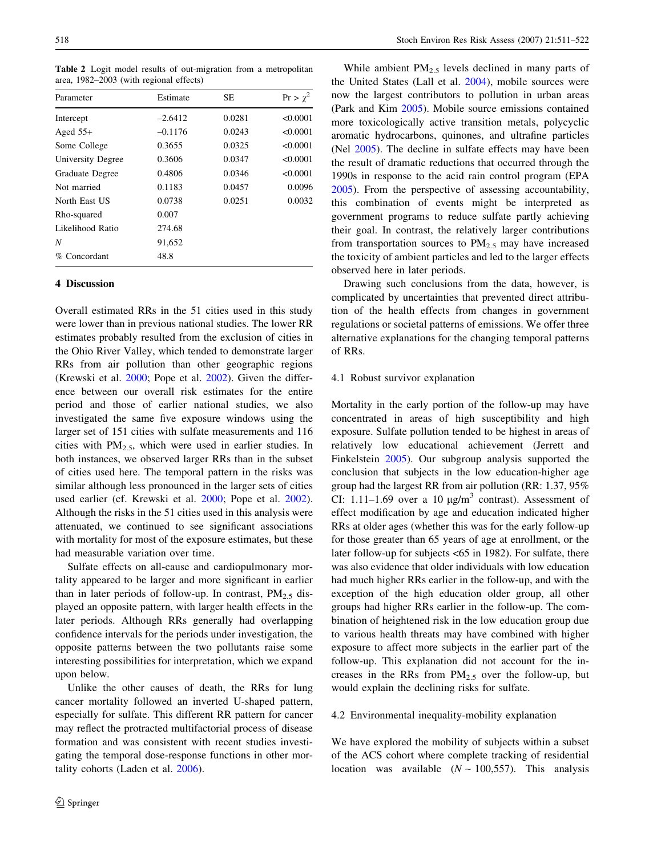<span id="page-7-0"></span>Table 2 Logit model results of out-migration from a metropolitan area, 1982–2003 (with regional effects)

| Parameter          | Estimate  | <b>SE</b> | $Pr > \chi^2$ |
|--------------------|-----------|-----------|---------------|
| Intercept          | $-2.6412$ | 0.0281    | < 0.0001      |
| Aged $55+$         | $-0.1176$ | 0.0243    | < 0.0001      |
| Some College       | 0.3655    | 0.0325    | < 0.0001      |
| University Degree  | 0.3606    | 0.0347    | < 0.0001      |
| Graduate Degree    | 0.4806    | 0.0346    | < 0.0001      |
| Not married        | 0.1183    | 0.0457    | 0.0096        |
| North East US      | 0.0738    | 0.0251    | 0.0032        |
| Rho-squared        | 0.007     |           |               |
| Likelihood Ratio   | 274.68    |           |               |
| N                  | 91,652    |           |               |
| Concordant<br>$\%$ | 48.8      |           |               |

## 4 Discussion

Overall estimated RRs in the 51 cities used in this study were lower than in previous national studies. The lower RR estimates probably resulted from the exclusion of cities in the Ohio River Valley, which tended to demonstrate larger RRs from air pollution than other geographic regions (Krewski et al. [2000](#page-10-0); Pope et al. [2002](#page-11-0)). Given the difference between our overall risk estimates for the entire period and those of earlier national studies, we also investigated the same five exposure windows using the larger set of 151 cities with sulfate measurements and 116 cities with  $PM_{2.5}$ , which were used in earlier studies. In both instances, we observed larger RRs than in the subset of cities used here. The temporal pattern in the risks was similar although less pronounced in the larger sets of cities used earlier (cf. Krewski et al. [2000;](#page-10-0) Pope et al. [2002](#page-11-0)). Although the risks in the 51 cities used in this analysis were attenuated, we continued to see significant associations with mortality for most of the exposure estimates, but these had measurable variation over time.

Sulfate effects on all-cause and cardiopulmonary mortality appeared to be larger and more significant in earlier than in later periods of follow-up. In contrast,  $PM_{2.5}$  displayed an opposite pattern, with larger health effects in the later periods. Although RRs generally had overlapping confidence intervals for the periods under investigation, the opposite patterns between the two pollutants raise some interesting possibilities for interpretation, which we expand upon below.

Unlike the other causes of death, the RRs for lung cancer mortality followed an inverted U-shaped pattern, especially for sulfate. This different RR pattern for cancer may reflect the protracted multifactorial process of disease formation and was consistent with recent studies investigating the temporal dose-response functions in other mortality cohorts (Laden et al. [2006](#page-10-0)).

While ambient  $PM<sub>2.5</sub>$  levels declined in many parts of the United States (Lall et al. [2004\)](#page-10-0), mobile sources were now the largest contributors to pollution in urban areas (Park and Kim [2005\)](#page-11-0). Mobile source emissions contained more toxicologically active transition metals, polycyclic aromatic hydrocarbons, quinones, and ultrafine particles (Nel [2005\)](#page-10-0). The decline in sulfate effects may have been the result of dramatic reductions that occurred through the 1990s in response to the acid rain control program (EPA [2005](#page-10-0)). From the perspective of assessing accountability, this combination of events might be interpreted as government programs to reduce sulfate partly achieving their goal. In contrast, the relatively larger contributions from transportation sources to  $PM<sub>2.5</sub>$  may have increased the toxicity of ambient particles and led to the larger effects observed here in later periods.

Drawing such conclusions from the data, however, is complicated by uncertainties that prevented direct attribution of the health effects from changes in government regulations or societal patterns of emissions. We offer three alternative explanations for the changing temporal patterns of RRs.

#### 4.1 Robust survivor explanation

Mortality in the early portion of the follow-up may have concentrated in areas of high susceptibility and high exposure. Sulfate pollution tended to be highest in areas of relatively low educational achievement (Jerrett and Finkelstein [2005\)](#page-10-0). Our subgroup analysis supported the conclusion that subjects in the low education-higher age group had the largest RR from air pollution (RR: 1.37, 95% CI: 1.11–1.69 over a 10  $\mu$ g/m<sup>3</sup> contrast). Assessment of effect modification by age and education indicated higher RRs at older ages (whether this was for the early follow-up for those greater than 65 years of age at enrollment, or the later follow-up for subjects <65 in 1982). For sulfate, there was also evidence that older individuals with low education had much higher RRs earlier in the follow-up, and with the exception of the high education older group, all other groups had higher RRs earlier in the follow-up. The combination of heightened risk in the low education group due to various health threats may have combined with higher exposure to affect more subjects in the earlier part of the follow-up. This explanation did not account for the increases in the RRs from  $PM_{2.5}$  over the follow-up, but would explain the declining risks for sulfate.

#### 4.2 Environmental inequality-mobility explanation

We have explored the mobility of subjects within a subset of the ACS cohort where complete tracking of residential location was available  $(N \sim 100,557)$ . This analysis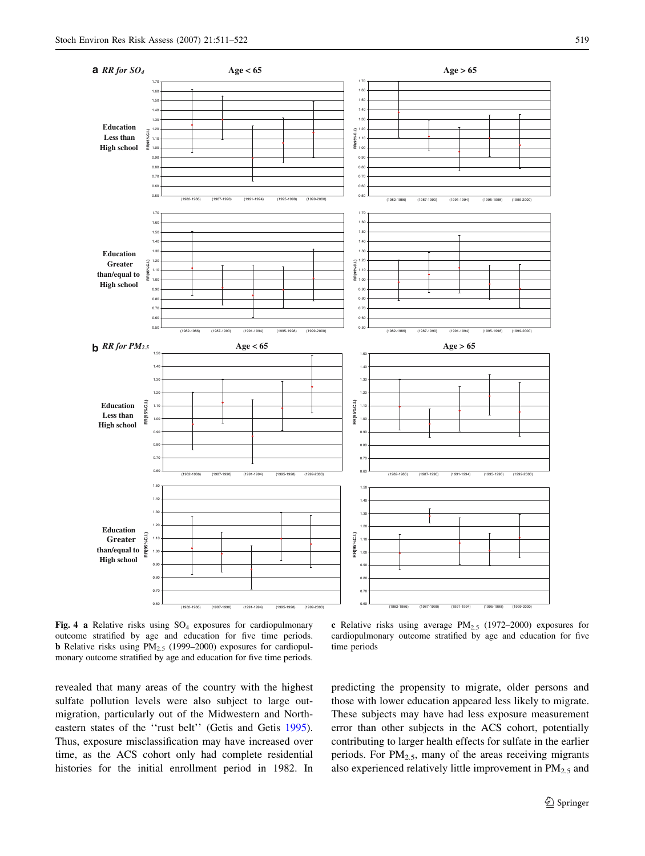<span id="page-8-0"></span>

Fig. 4 a Relative risks using  $SO_4$  exposures for cardiopulmonary outcome stratified by age and education for five time periods. **b** Relative risks using  $PM_{2.5}$  (1999–2000) exposures for cardiopulmonary outcome stratified by age and education for five time periods.

c Relative risks using average  $PM_{2.5}$  (1972–2000) exposures for cardiopulmonary outcome stratified by age and education for five time periods

revealed that many areas of the country with the highest sulfate pollution levels were also subject to large outmigration, particularly out of the Midwestern and Northeastern states of the ''rust belt'' (Getis and Getis [1995](#page-10-0)). Thus, exposure misclassification may have increased over time, as the ACS cohort only had complete residential histories for the initial enrollment period in 1982. In predicting the propensity to migrate, older persons and those with lower education appeared less likely to migrate. These subjects may have had less exposure measurement error than other subjects in the ACS cohort, potentially contributing to larger health effects for sulfate in the earlier periods. For  $PM_{2.5}$ , many of the areas receiving migrants also experienced relatively little improvement in  $PM_{2.5}$  and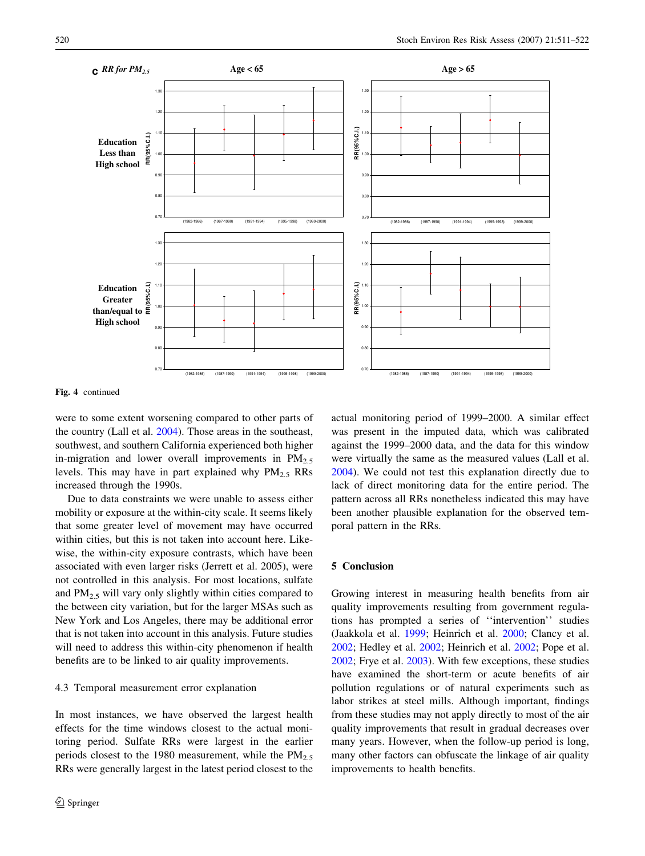

Fig. 4 continued

were to some extent worsening compared to other parts of the country (Lall et al. [2004](#page-10-0)). Those areas in the southeast, southwest, and southern California experienced both higher in-migration and lower overall improvements in  $PM_{2.5}$ levels. This may have in part explained why  $PM_{2.5}$  RRs increased through the 1990s.

Due to data constraints we were unable to assess either mobility or exposure at the within-city scale. It seems likely that some greater level of movement may have occurred within cities, but this is not taken into account here. Likewise, the within-city exposure contrasts, which have been associated with even larger risks (Jerrett et al. 2005), were not controlled in this analysis. For most locations, sulfate and  $PM<sub>2.5</sub>$  will vary only slightly within cities compared to the between city variation, but for the larger MSAs such as New York and Los Angeles, there may be additional error that is not taken into account in this analysis. Future studies will need to address this within-city phenomenon if health benefits are to be linked to air quality improvements.

## 4.3 Temporal measurement error explanation

In most instances, we have observed the largest health effects for the time windows closest to the actual monitoring period. Sulfate RRs were largest in the earlier periods closest to the 1980 measurement, while the  $PM_{2.5}$ RRs were generally largest in the latest period closest to the actual monitoring period of 1999–2000. A similar effect was present in the imputed data, which was calibrated against the 1999–2000 data, and the data for this window were virtually the same as the measured values (Lall et al. [2004](#page-10-0)). We could not test this explanation directly due to lack of direct monitoring data for the entire period. The pattern across all RRs nonetheless indicated this may have been another plausible explanation for the observed temporal pattern in the RRs.

## 5 Conclusion

Growing interest in measuring health benefits from air quality improvements resulting from government regulations has prompted a series of ''intervention'' studies (Jaakkola et al. [1999](#page-10-0); Heinrich et al. [2000](#page-10-0); Clancy et al. [2002](#page-10-0); Hedley et al. [2002](#page-10-0); Heinrich et al. [2002;](#page-10-0) Pope et al. [2002](#page-11-0); Frye et al. [2003\)](#page-10-0). With few exceptions, these studies have examined the short-term or acute benefits of air pollution regulations or of natural experiments such as labor strikes at steel mills. Although important, findings from these studies may not apply directly to most of the air quality improvements that result in gradual decreases over many years. However, when the follow-up period is long, many other factors can obfuscate the linkage of air quality improvements to health benefits.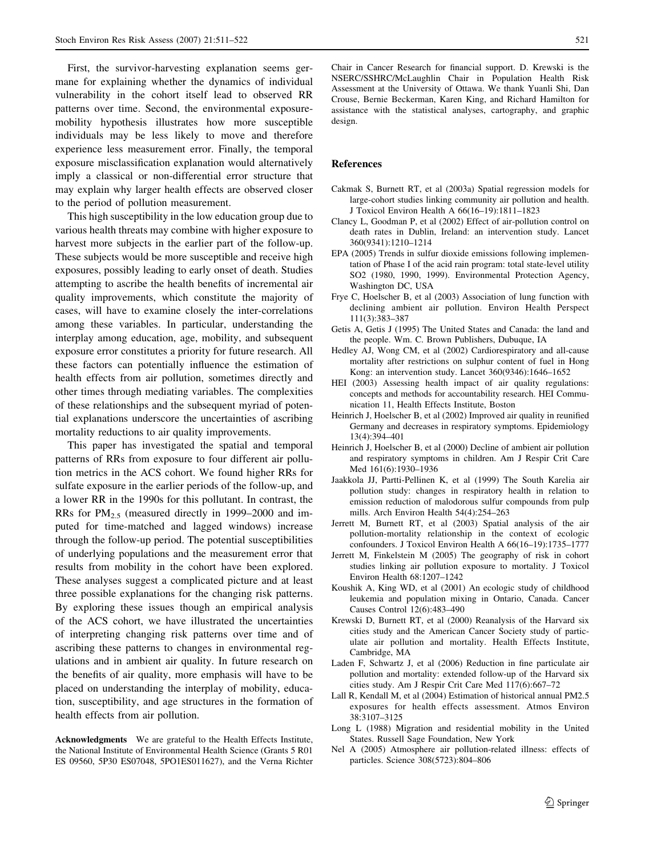<span id="page-10-0"></span>First, the survivor-harvesting explanation seems germane for explaining whether the dynamics of individual vulnerability in the cohort itself lead to observed RR patterns over time. Second, the environmental exposuremobility hypothesis illustrates how more susceptible individuals may be less likely to move and therefore experience less measurement error. Finally, the temporal exposure misclassification explanation would alternatively imply a classical or non-differential error structure that may explain why larger health effects are observed closer to the period of pollution measurement.

This high susceptibility in the low education group due to various health threats may combine with higher exposure to harvest more subjects in the earlier part of the follow-up. These subjects would be more susceptible and receive high exposures, possibly leading to early onset of death. Studies attempting to ascribe the health benefits of incremental air quality improvements, which constitute the majority of cases, will have to examine closely the inter-correlations among these variables. In particular, understanding the interplay among education, age, mobility, and subsequent exposure error constitutes a priority for future research. All these factors can potentially influence the estimation of health effects from air pollution, sometimes directly and other times through mediating variables. The complexities of these relationships and the subsequent myriad of potential explanations underscore the uncertainties of ascribing mortality reductions to air quality improvements.

This paper has investigated the spatial and temporal patterns of RRs from exposure to four different air pollution metrics in the ACS cohort. We found higher RRs for sulfate exposure in the earlier periods of the follow-up, and a lower RR in the 1990s for this pollutant. In contrast, the RRs for  $PM_{2.5}$  (measured directly in 1999–2000 and imputed for time-matched and lagged windows) increase through the follow-up period. The potential susceptibilities of underlying populations and the measurement error that results from mobility in the cohort have been explored. These analyses suggest a complicated picture and at least three possible explanations for the changing risk patterns. By exploring these issues though an empirical analysis of the ACS cohort, we have illustrated the uncertainties of interpreting changing risk patterns over time and of ascribing these patterns to changes in environmental regulations and in ambient air quality. In future research on the benefits of air quality, more emphasis will have to be placed on understanding the interplay of mobility, education, susceptibility, and age structures in the formation of health effects from air pollution.

Acknowledgments We are grateful to the Health Effects Institute, the National Institute of Environmental Health Science (Grants 5 R01 ES 09560, 5P30 ES07048, 5PO1ES011627), and the Verna Richter

Chair in Cancer Research for financial support. D. Krewski is the NSERC/SSHRC/McLaughlin Chair in Population Health Risk Assessment at the University of Ottawa. We thank Yuanli Shi, Dan Crouse, Bernie Beckerman, Karen King, and Richard Hamilton for assistance with the statistical analyses, cartography, and graphic design.

#### References

- Cakmak S, Burnett RT, et al (2003a) Spatial regression models for large-cohort studies linking community air pollution and health. J Toxicol Environ Health A 66(16–19):1811–1823
- Clancy L, Goodman P, et al (2002) Effect of air-pollution control on death rates in Dublin, Ireland: an intervention study. Lancet 360(9341):1210–1214
- EPA (2005) Trends in sulfur dioxide emissions following implementation of Phase I of the acid rain program: total state-level utility SO2 (1980, 1990, 1999). Environmental Protection Agency, Washington DC, USA
- Frye C, Hoelscher B, et al (2003) Association of lung function with declining ambient air pollution. Environ Health Perspect 111(3):383–387
- Getis A, Getis J (1995) The United States and Canada: the land and the people. Wm. C. Brown Publishers, Dubuque, IA
- Hedley AJ, Wong CM, et al (2002) Cardiorespiratory and all-cause mortality after restrictions on sulphur content of fuel in Hong Kong: an intervention study. Lancet 360(9346):1646–1652
- HEI (2003) Assessing health impact of air quality regulations: concepts and methods for accountability research. HEI Communication 11, Health Effects Institute, Boston
- Heinrich J, Hoelscher B, et al (2002) Improved air quality in reunified Germany and decreases in respiratory symptoms. Epidemiology 13(4):394–401
- Heinrich J, Hoelscher B, et al (2000) Decline of ambient air pollution and respiratory symptoms in children. Am J Respir Crit Care Med 161(6):1930–1936
- Jaakkola JJ, Partti-Pellinen K, et al (1999) The South Karelia air pollution study: changes in respiratory health in relation to emission reduction of malodorous sulfur compounds from pulp mills. Arch Environ Health 54(4):254–263
- Jerrett M, Burnett RT, et al (2003) Spatial analysis of the air pollution-mortality relationship in the context of ecologic confounders. J Toxicol Environ Health A 66(16–19):1735–1777
- Jerrett M, Finkelstein M (2005) The geography of risk in cohort studies linking air pollution exposure to mortality. J Toxicol Environ Health 68:1207–1242
- Koushik A, King WD, et al (2001) An ecologic study of childhood leukemia and population mixing in Ontario, Canada. Cancer Causes Control 12(6):483–490
- Krewski D, Burnett RT, et al (2000) Reanalysis of the Harvard six cities study and the American Cancer Society study of particulate air pollution and mortality. Health Effects Institute, Cambridge, MA
- Laden F, Schwartz J, et al (2006) Reduction in fine particulate air pollution and mortality: extended follow-up of the Harvard six cities study. Am J Respir Crit Care Med 117(6):667–72
- Lall R, Kendall M, et al (2004) Estimation of historical annual PM2.5 exposures for health effects assessment. Atmos Environ 38:3107–3125
- Long L (1988) Migration and residential mobility in the United States. Russell Sage Foundation, New York
- Nel A (2005) Atmosphere air pollution-related illness: effects of particles. Science 308(5723):804–806